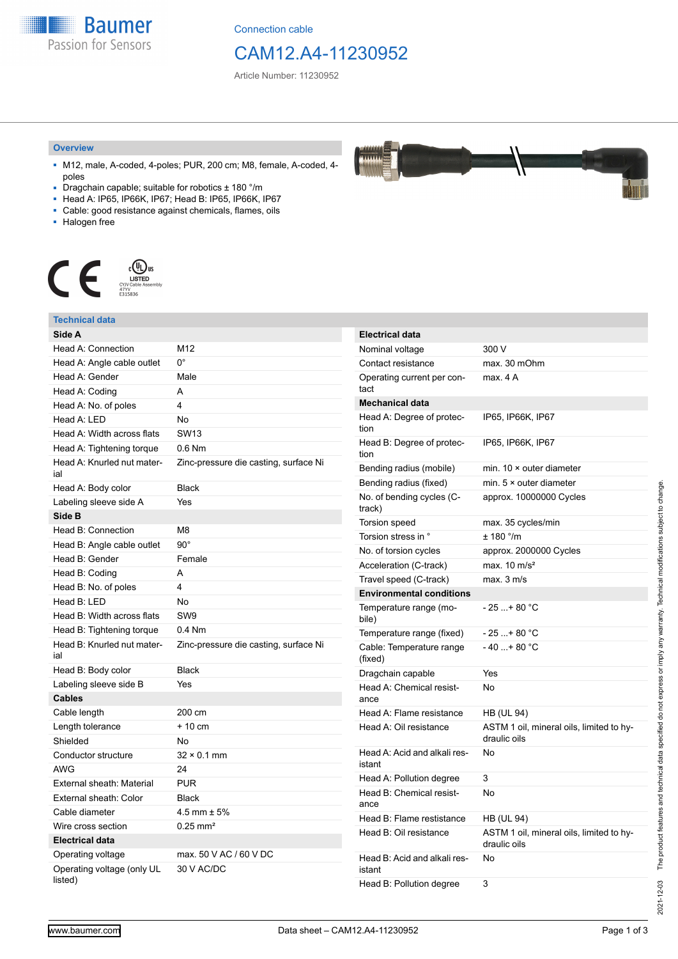**Baumer** Passion for Sensors

Connection cable

# CAM12.A4-11230952

AAAAA **TAHAA** 

Article Number: 11230952

#### **Overview**

- M12, male, A-coded, 4-poles; PUR, 200 cm; M8, female, A-coded, 4 poles
- Dragchain capable; suitable for robotics ± 180 °/m
- Head A: IP65, IP66K, IP67; Head B: IP65, IP66K, IP67
- Cable: good resistance against chemicals, flames, oils
- Halogen free



### **Technical data**

| Side A                                |                                       | Elec               |
|---------------------------------------|---------------------------------------|--------------------|
| Head A: Connection                    | M12                                   | Non                |
| Head A: Angle cable outlet            | $0^{\circ}$                           | Con                |
| Head A: Gender                        | Male                                  | Ope                |
| Head A: Coding                        | A                                     | tact               |
| Head A: No. of poles                  | 4                                     | Mec                |
| Head A: LED                           | No                                    | Hea                |
| Head A: Width across flats            | <b>SW13</b>                           | tion<br>Hea        |
| Head A: Tightening torque             | 0.6 Nm                                |                    |
| Head A: Knurled nut mater-<br>ial     | Zinc-pressure die casting, surface Ni | tion<br>Ben<br>Ben |
| Head A: Body color                    | <b>Black</b>                          |                    |
| Labeling sleeve side A                | Yes                                   |                    |
| Side B                                |                                       |                    |
| Head B: Connection                    | M8                                    |                    |
| Head B: Angle cable outlet            | $90^{\circ}$                          |                    |
| Head B: Gender                        | Female                                |                    |
| Head B: Coding                        | A                                     |                    |
| Head B: No. of poles                  | 4                                     |                    |
| Head B: LED                           | No                                    |                    |
| Head B: Width across flats            | SW <sub>9</sub>                       |                    |
| Head B: Tightening torque             | $0.4$ Nm                              |                    |
| Head B: Knurled nut mater-<br>ial     | Zinc-pressure die casting, surface Ni |                    |
| Head B: Body color                    | <b>Black</b>                          |                    |
| Labeling sleeve side B                | Yes                                   |                    |
| <b>Cables</b>                         |                                       |                    |
| Cable length                          | 200 cm                                |                    |
| Length tolerance                      | $+10$ cm                              |                    |
| Shielded                              | No                                    |                    |
| Conductor structure                   | $32 \times 0.1$ mm                    |                    |
| <b>AWG</b>                            | 24                                    | istar              |
| External sheath: Material             | <b>PUR</b>                            |                    |
| External sheath: Color                | <b>Black</b>                          |                    |
| Cable diameter                        | $4.5$ mm $\pm 5%$                     |                    |
| Wire cross section                    | $0.25$ mm <sup>2</sup>                | Hea<br>Hea         |
| <b>Electrical data</b>                |                                       |                    |
| Operating voltage                     | max, 50 V AC / 60 V DC                | Hea                |
| Operating voltage (only UL<br>listed) | 30 V AC/DC                            | istar<br>Hea       |

| <b>Electrical data</b>                 |                                                          |
|----------------------------------------|----------------------------------------------------------|
| Nominal voltage                        | 300 V                                                    |
| Contact resistance                     | max. 30 mOhm                                             |
| Operating current per con-<br>tact     | max. 4 A                                                 |
| <b>Mechanical data</b>                 |                                                          |
| Head A: Degree of protec-<br>tion      | IP65, IP66K, IP67                                        |
| Head B: Degree of protec-<br>tion      | IP65, IP66K, IP67                                        |
| Bending radius (mobile)                | min. $10 \times$ outer diameter                          |
| Bending radius (fixed)                 | min. $5 \times$ outer diameter                           |
| No. of bending cycles (C-<br>track)    | approx. 10000000 Cycles                                  |
| Torsion speed                          | max. 35 cycles/min                                       |
| Torsion stress in °                    | $± 180$ °/m                                              |
| No. of torsion cycles                  | approx. 2000000 Cycles                                   |
| Acceleration (C-track)                 | max. $10 \text{ m/s}^2$                                  |
| Travel speed (C-track)                 | max. 3 m/s                                               |
| <b>Environmental conditions</b>        |                                                          |
| Temperature range (mo-<br>bile)        | $-25$ + 80 °C                                            |
| Temperature range (fixed)              | - 25 + 80 °C                                             |
| Cable: Temperature range<br>(fixed)    | $-40+80 °C$                                              |
| Dragchain capable                      | Yes                                                      |
| Head A: Chemical resist-<br>ance       | No                                                       |
| Head A: Flame resistance               | HB (UL 94)                                               |
| Head A: Oil resistance                 | ASTM 1 oil, mineral oils, limited to hy-<br>draulic oils |
| Head A: Acid and alkali res-<br>istant | No                                                       |
| Head A: Pollution degree               | 3                                                        |
| Head B: Chemical resist-<br>ance       | No                                                       |
| Head B: Flame restistance              | HB (UL 94)                                               |
| Head B: Oil resistance                 | ASTM 1 oil, mineral oils, limited to hy-<br>draulic oils |
| Head B: Acid and alkali res-<br>istant | No                                                       |
| Head B: Pollution degree               | 3                                                        |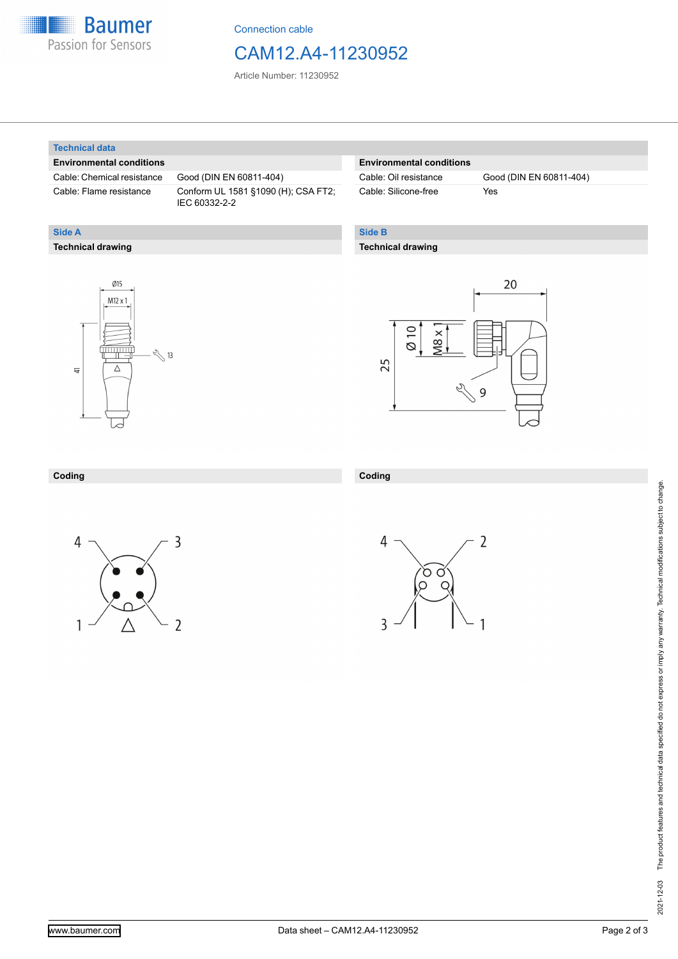

Connection cable

## CAM12.A4-11230952

Article Number: 11230952

#### **Technical data**

**Technical drawing**

**Side A**

#### **Environmental conditions**

Cable: Chemical resistance Good (DIN EN 60811-404)

Cable: Flame resistance Conform UL 1581 §1090 (H); CSA FT2; IEC 60332-2-2

#### **Environmental conditions**

| Cable: Oil resistance |  |
|-----------------------|--|
| Cable: Silicone-free  |  |

Good (DIN EN 60811-404) Yes

### **Side B**

#### **Technical drawing**





### **Coding**